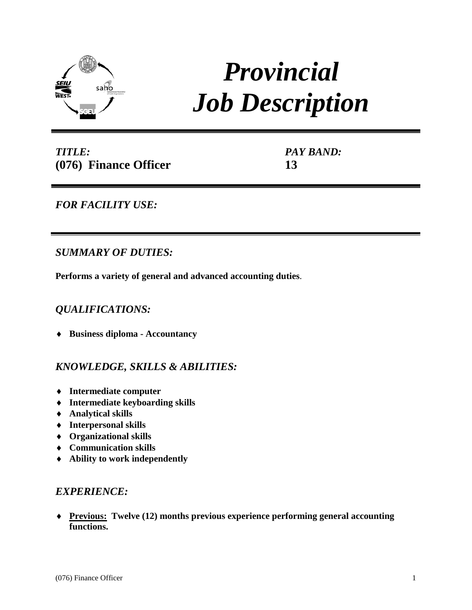

# *Provincial Job Description*

*TITLE:* **(076) Finance Officer** *PAY BAND:* **13**

# *FOR FACILITY USE:*

# *SUMMARY OF DUTIES:*

**Performs a variety of general and advanced accounting duties**.

## *QUALIFICATIONS:*

♦ **Business diploma - Accountancy** 

## *KNOWLEDGE, SKILLS & ABILITIES:*

- ♦ **Intermediate computer**
- ♦ **Intermediate keyboarding skills**
- ♦ **Analytical skills**
- ♦ **Interpersonal skills**
- ♦ **Organizational skills**
- ♦ **Communication skills**
- ♦ **Ability to work independently**

## *EXPERIENCE:*

♦ **Previous: Twelve (12) months previous experience performing general accounting functions.**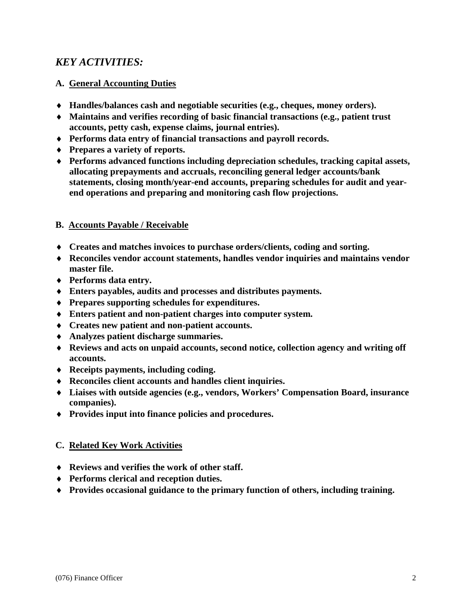# *KEY ACTIVITIES:*

### **A. General Accounting Duties**

- ♦ **Handles/balances cash and negotiable securities (e.g., cheques, money orders).**
- ♦ **Maintains and verifies recording of basic financial transactions (e.g., patient trust accounts, petty cash, expense claims, journal entries).**
- ♦ **Performs data entry of financial transactions and payroll records.**
- ♦ **Prepares a variety of reports.**
- ♦ **Performs advanced functions including depreciation schedules, tracking capital assets, allocating prepayments and accruals, reconciling general ledger accounts/bank statements, closing month/year-end accounts, preparing schedules for audit and yearend operations and preparing and monitoring cash flow projections.**

#### **B. Accounts Payable / Receivable**

- ♦ **Creates and matches invoices to purchase orders/clients, coding and sorting.**
- ♦ **Reconciles vendor account statements, handles vendor inquiries and maintains vendor master file.**
- ♦ **Performs data entry.**
- ♦ **Enters payables, audits and processes and distributes payments.**
- ♦ **Prepares supporting schedules for expenditures.**
- ♦ **Enters patient and non-patient charges into computer system.**
- ♦ **Creates new patient and non-patient accounts.**
- ♦ **Analyzes patient discharge summaries.**
- ♦ **Reviews and acts on unpaid accounts, second notice, collection agency and writing off accounts.**
- ♦ **Receipts payments, including coding.**
- ♦ **Reconciles client accounts and handles client inquiries.**
- ♦ **Liaises with outside agencies (e.g., vendors, Workers' Compensation Board, insurance companies).**
- ♦ **Provides input into finance policies and procedures.**

## **C. Related Key Work Activities**

- ♦ **Reviews and verifies the work of other staff.**
- ♦ **Performs clerical and reception duties.**
- ♦ **Provides occasional guidance to the primary function of others, including training.**